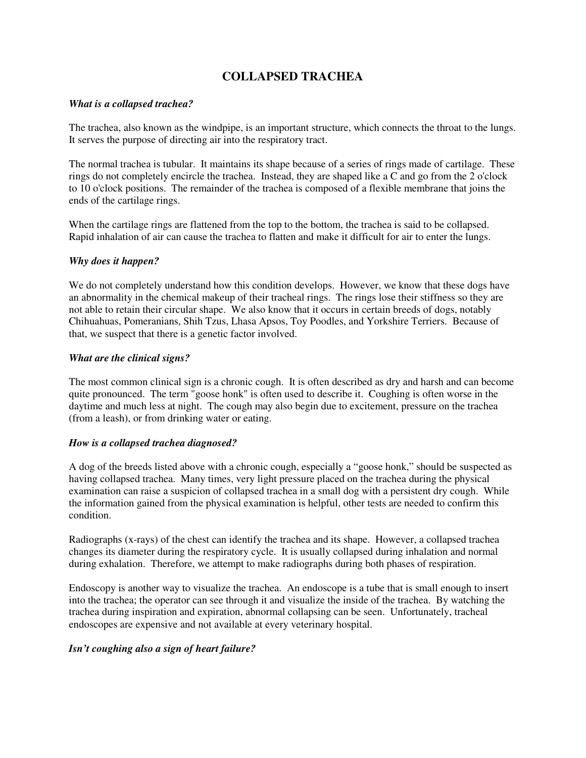# **COLLAPSED TRACHEA**

#### *What is a collapsed trachea?*

The trachea, also known as the windpipe, is an important structure, which connects the throat to the lungs. It serves the purpose of directing air into the respiratory tract.

The normal trachea is tubular. It maintains its shape because of a series of rings made of cartilage. These rings do not completely encircle the trachea. Instead, they are shaped like a C and go from the 2 o'clock to 10 o'clock positions. The remainder of the trachea is composed of a flexible membrane that joins the ends of the cartilage rings.

When the cartilage rings are flattened from the top to the bottom, the trachea is said to be collapsed. Rapid inhalation of air can cause the trachea to flatten and make it difficult for air to enter the lungs.

### *Why does it happen?*

We do not completely understand how this condition develops. However, we know that these dogs have an abnormality in the chemical makeup of their tracheal rings. The rings lose their stiffness so they are not able to retain their circular shape. We also know that it occurs in certain breeds of dogs, notably Chihuahuas, Pomeranians, Shih Tzus, Lhasa Apsos, Toy Poodles, and Yorkshire Terriers. Because of that, we suspect that there is a genetic factor involved.

### *What are the clinical signs?*

The most common clinical sign is a chronic cough. It is often described as dry and harsh and can become quite pronounced. The term "goose honk" is often used to describe it. Coughing is often worse in the daytime and much less at night. The cough may also begin due to excitement, pressure on the trachea (from a leash), or from drinking water or eating.

## *How is a collapsed trachea diagnosed?*

A dog of the breeds listed above with a chronic cough, especially a "goose honk," should be suspected as having collapsed trachea. Many times, very light pressure placed on the trachea during the physical examination can raise a suspicion of collapsed trachea in a small dog with a persistent dry cough. While the information gained from the physical examination is helpful, other tests are needed to confirm this condition.

Radiographs (x-rays) of the chest can identify the trachea and its shape. However, a collapsed trachea changes its diameter during the respiratory cycle. It is usually collapsed during inhalation and normal during exhalation. Therefore, we attempt to make radiographs during both phases of respiration.

Endoscopy is another way to visualize the trachea. An endoscope is a tube that is small enough to insert into the trachea; the operator can see through it and visualize the inside of the trachea. By watching the trachea during inspiration and expiration, abnormal collapsing can be seen. Unfortunately, tracheal endoscopes are expensive and not available at every veterinary hospital.

## *Isn't coughing also a sign of heart failure?*